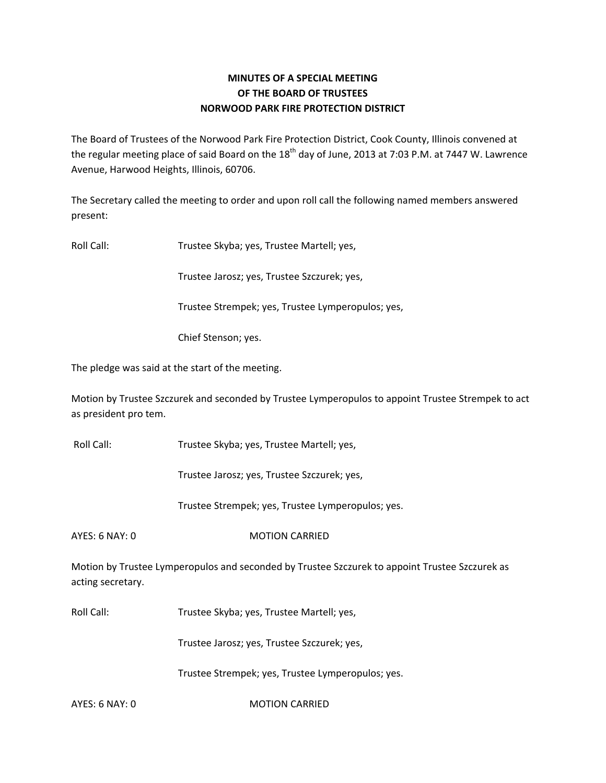## **MINUTES OF A SPECIAL MEETING OF THE BOARD OF TRUSTEES NORWOOD PARK FIRE PROTECTION DISTRICT**

The Board of Trustees of the Norwood Park Fire Protection District, Cook County, Illinois convened at the regular meeting place of said Board on the  $18<sup>th</sup>$  day of June, 2013 at 7:03 P.M. at 7447 W. Lawrence Avenue, Harwood Heights, Illinois, 60706.

The Secretary called the meeting to order and upon roll call the following named members answered present:

Roll Call: Trustee Skyba; yes, Trustee Martell; yes,

Trustee Jarosz; yes, Trustee Szczurek; yes,

Trustee Strempek; yes, Trustee Lymperopulos; yes,

Chief Stenson; yes.

The pledge was said at the start of the meeting.

Motion by Trustee Szczurek and seconded by Trustee Lymperopulos to appoint Trustee Strempek to act as president pro tem.

Roll Call: Trustee Skyba; yes, Trustee Martell; yes,

Trustee Jarosz; yes, Trustee Szczurek; yes,

Trustee Strempek; yes, Trustee Lymperopulos; yes.

AYES: 6 NAY: 0 MOTION CARRIED

Motion by Trustee Lymperopulos and seconded by Trustee Szczurek to appoint Trustee Szczurek as acting secretary.

Roll Call: Trustee Skyba; yes, Trustee Martell; yes,

Trustee Jarosz; yes, Trustee Szczurek; yes,

Trustee Strempek; yes, Trustee Lymperopulos; yes.

AYES: 6 NAY: 0 MOTION CARRIED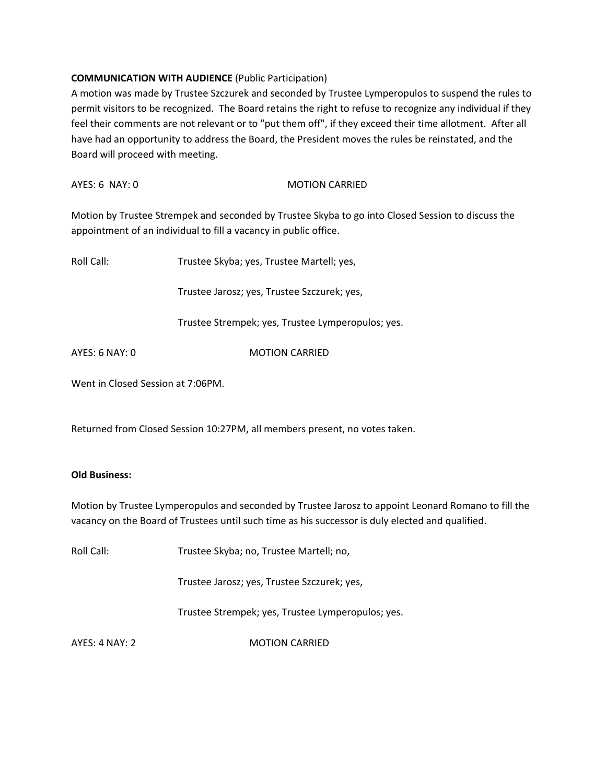## **COMMUNICATION WITH AUDIENCE** (Public Participation)

A motion was made by Trustee Szczurek and seconded by Trustee Lymperopulos to suspend the rules to permit visitors to be recognized. The Board retains the right to refuse to recognize any individual if they feel their comments are not relevant or to "put them off", if they exceed their time allotment. After all have had an opportunity to address the Board, the President moves the rules be reinstated, and the Board will proceed with meeting.

| $AYES: 6$ NAY: $0$ | <b>MOTION CARRIED</b> |
|--------------------|-----------------------|
|                    |                       |

Motion by Trustee Strempek and seconded by Trustee Skyba to go into Closed Session to discuss the appointment of an individual to fill a vacancy in public office.

| Roll Call:     | Trustee Skyba; yes, Trustee Martell; yes,         |
|----------------|---------------------------------------------------|
|                | Trustee Jarosz; yes, Trustee Szczurek; yes,       |
|                | Trustee Strempek; yes, Trustee Lymperopulos; yes. |
| AYES: 6 NAY: 0 | <b>MOTION CARRIED</b>                             |
|                |                                                   |

Went in Closed Session at 7:06PM.

Returned from Closed Session 10:27PM, all members present, no votes taken.

## **Old Business:**

Motion by Trustee Lymperopulos and seconded by Trustee Jarosz to appoint Leonard Romano to fill the vacancy on the Board of Trustees until such time as his successor is duly elected and qualified.

Roll Call: Trustee Skyba; no, Trustee Martell; no,

Trustee Jarosz; yes, Trustee Szczurek; yes,

Trustee Strempek; yes, Trustee Lymperopulos; yes.

AYES: 4 NAY: 2 MOTION CARRIED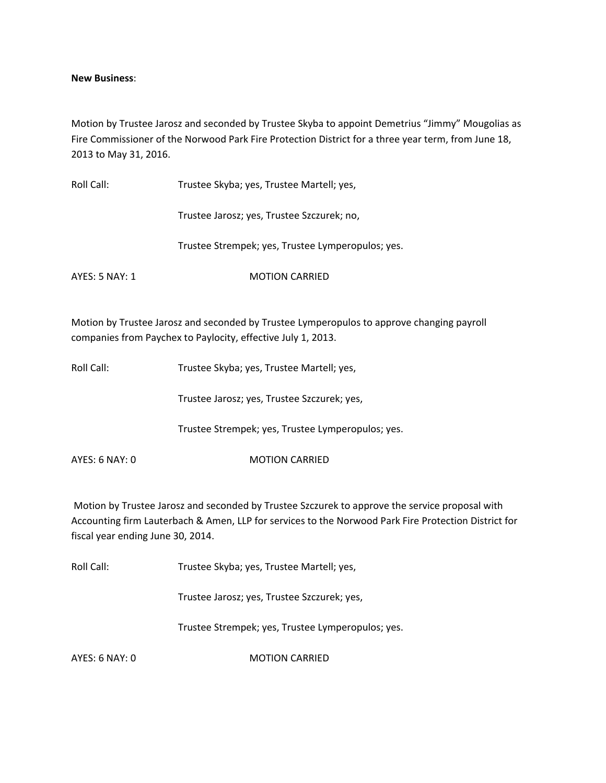**New Business**:

Motion by Trustee Jarosz and seconded by Trustee Skyba to appoint Demetrius "Jimmy" Mougolias as Fire Commissioner of the Norwood Park Fire Protection District for a three year term, from June 18, 2013 to May 31, 2016.

| Roll Call:     | Trustee Skyba; yes, Trustee Martell; yes,                                                                                                                 |  |
|----------------|-----------------------------------------------------------------------------------------------------------------------------------------------------------|--|
|                | Trustee Jarosz; yes, Trustee Szczurek; no,                                                                                                                |  |
|                | Trustee Strempek; yes, Trustee Lymperopulos; yes.                                                                                                         |  |
| AYES: 5 NAY: 1 | <b>MOTION CARRIED</b>                                                                                                                                     |  |
|                | Motion by Trustee Jarosz and seconded by Trustee Lymperopulos to approve changing payroll<br>companies from Paychex to Paylocity, effective July 1, 2013. |  |

Roll Call: Trustee Skyba; yes, Trustee Martell; yes,

Trustee Jarosz; yes, Trustee Szczurek; yes,

Trustee Strempek; yes, Trustee Lymperopulos; yes.

AYES: 6 NAY: 0 MOTION CARRIED

Motion by Trustee Jarosz and seconded by Trustee Szczurek to approve the service proposal with Accounting firm Lauterbach & Amen, LLP for services to the Norwood Park Fire Protection District for fiscal year ending June 30, 2014.

Roll Call: Trustee Skyba; yes, Trustee Martell; yes,

Trustee Jarosz; yes, Trustee Szczurek; yes,

Trustee Strempek; yes, Trustee Lymperopulos; yes.

AYES: 6 NAY: 0 MOTION CARRIED